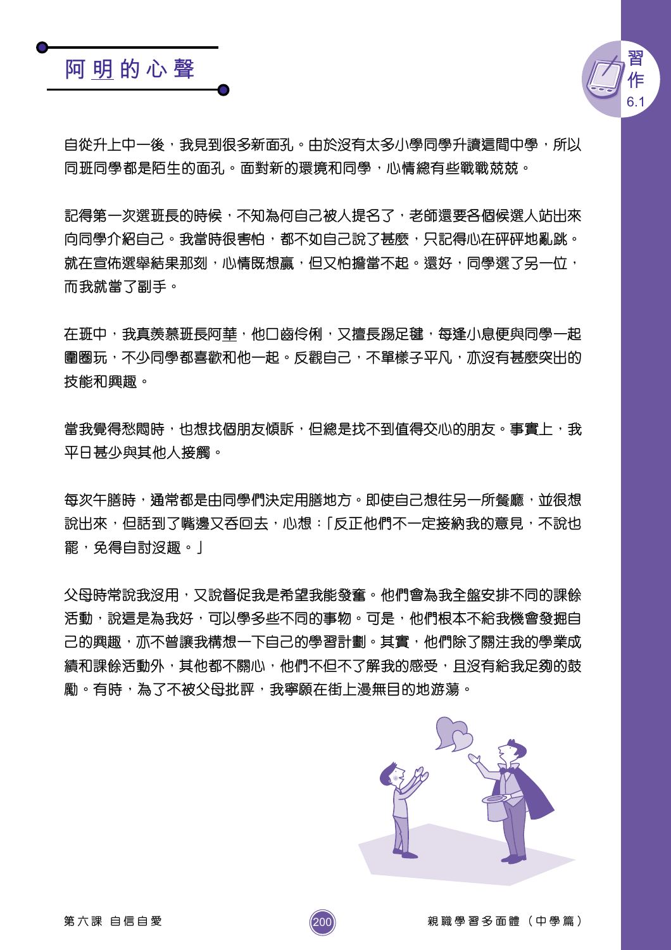## 阿明的心聲



自從升上中一後,我見到很多新面孔。由於沒有太多小學同學升讀這間中學,所以 同班同學都是陌生的面孔。面對新的環境和同學,心情總有些戰戰兢兢。

記得第一次選班長的時候,不知為何自己被人提名了,老師還要各個候選人站出來 向同學介紹自己。我當時很害怕,都不如自己說了甚麼,只記得心在砰砰地亂跳。 就在宣佈選舉結果那刻,心情既想贏,但又怕擔當不起。還好,同學選了另一位, 而我就當了副手。

在班中,我真羨慕班長阿華,他口齒伶俐,又擅長踢足毽,每逢小息便與同學一起 圍圈玩,不少同學都喜歡和他一起。反觀自己,不單樣子平凡,亦沒有甚麼突出的 技能和興趣。

當我覺得愁悶時,也想找個朋友傾訴,但總是找不到值得交心的朋友。事實上,我 平日甚少與其他人接觸。

每次午膳時,通常都是由同學們決定用膳地方。即使自己想往另一所餐廳,並很想 說出來,但話到了嘴邊又呑回去,心想:「反正他們不一定接納我的意見,不說也 罷,免得自討沒趣。 |

父母時常說我沒用,又說督促我是希望我能發奮。他們會為我全盤安排不同的課餘 活動,說這是為我好,可以學多些不同的事物。可是,他們根本不給我機會發掘自 己的興趣,亦不曾讓我構想一下自己的學習計劃。其實,他們除了關注我的學業成 績和課餘活動外,其他都不關心,他們不但不了解我的感受,日沒有給我足夠的鼓 勵。有時,為了不被父母批評,我寧願在街上漫無目的地游蕩。

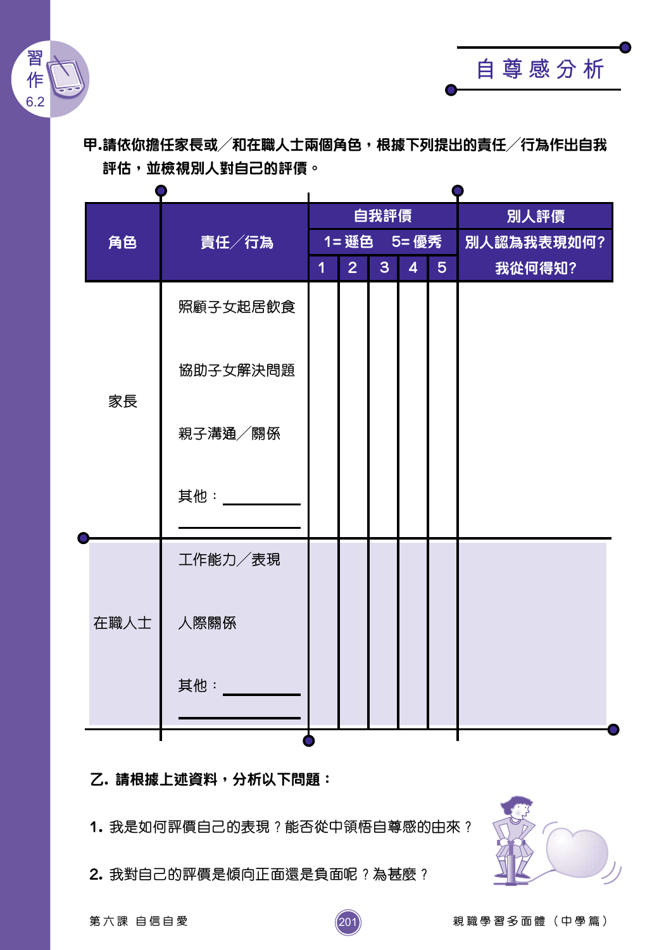

甲.請依你擔任家長或/和在職人士兩個角色,根據下列提出的責任/行為作出自我 評估,並檢視別人對自己的評價。

|      | 責任/行為     | 自我評價        |                |                |                |                | 別人評價       |  |
|------|-----------|-------------|----------------|----------------|----------------|----------------|------------|--|
| 角色   |           | 1= 遜色 5= 優秀 |                |                |                |                | 別人認為我表現如何? |  |
|      |           | 1           | 2 <sup>1</sup> | 3 <sup>1</sup> | $\overline{4}$ | 5 <sup>5</sup> | 我從何得知?     |  |
| 家長   | 照顧子女起居飲食  |             |                |                |                |                |            |  |
|      | 協助子女解決問題  |             |                |                |                |                |            |  |
|      | 親子溝通/關係   |             |                |                |                |                |            |  |
|      | 其他: _____ |             |                |                |                |                |            |  |
| 在職人士 | 工作能力/表現   |             |                |                |                |                |            |  |
|      | 人際關係      |             |                |                |                |                |            |  |
|      | 其他:       |             |                |                |                |                |            |  |
|      |           |             |                |                |                |                |            |  |

乙. 請根據上述資料,分析以下問題:

1. 我是如何評價自己的表現?能否從中領悟自尊感的由來?

201

2. 我對自己的評價是傾向正面還是負面呢?為甚麼?



自尊感分析

親職學習多面體 (中學篇)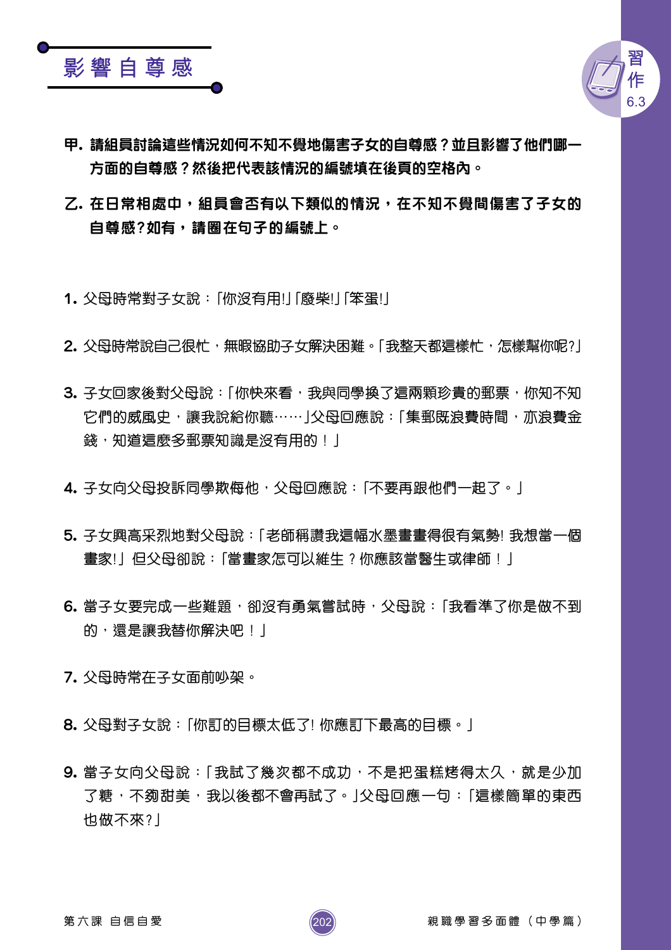



- 甲,請組員討論這些情況如何不知不覺地傷害子女的自尊感?並且影響了他們哪一 方面的自尊感?然後把代表該情況的編號填在後頁的空格內。
- 乙. 在日常相處中,組員會否有以下類似的情況,在不知不覺間傷害了子女的 自尊感?如有,請圈在句子的編號上。
- 1. 父母時常對子女說:「你沒有用!」「廢柴!」「笨蛋!」
- 2. 父母時常說自己很忙,無暇協助子女解決困難。「我整天都這樣忙,怎樣幫你呢?」
- 3. 子女回家後對父母說:「你快來看,我與同學換了這兩顆珍貴的郵票,你知不知 它們的威風史,讓我說給你聽……」父母回應說:「集郵既浪費時間,亦浪費金 錢, 知道這麼多郵票知識是沒有用的! |
- 4. 子女向父母投訴同學欺侮他,父母回應說:「不要再跟他們一起了。」
- 5. 子女興高采烈地對父母說:「老師稱讚我這幅水墨畫畫得很有氣勢! 我想當一個 畫家!」但父母卻說:「當畫家怎可以維生?你應該當醫生或律師!」
- 6. 當子女要完成一些難題,卻沒有勇氣嘗試時,父母說:「我看準了你是做不到 的,還是讓我替你解決吧! |
- 7. 父母時常在子女面前吵架。
- 8. 父母對子女說:「你訂的目標太低了! 你應訂下最高的目標。」
- 9. 當子女向父母說:「我試了幾次都不成功,不是把蛋糕烤得太久,就是少加 了糖,不夠甜美,我以後都不會再試了。|父母回應一句:「這樣簡單的東西 也做不來?」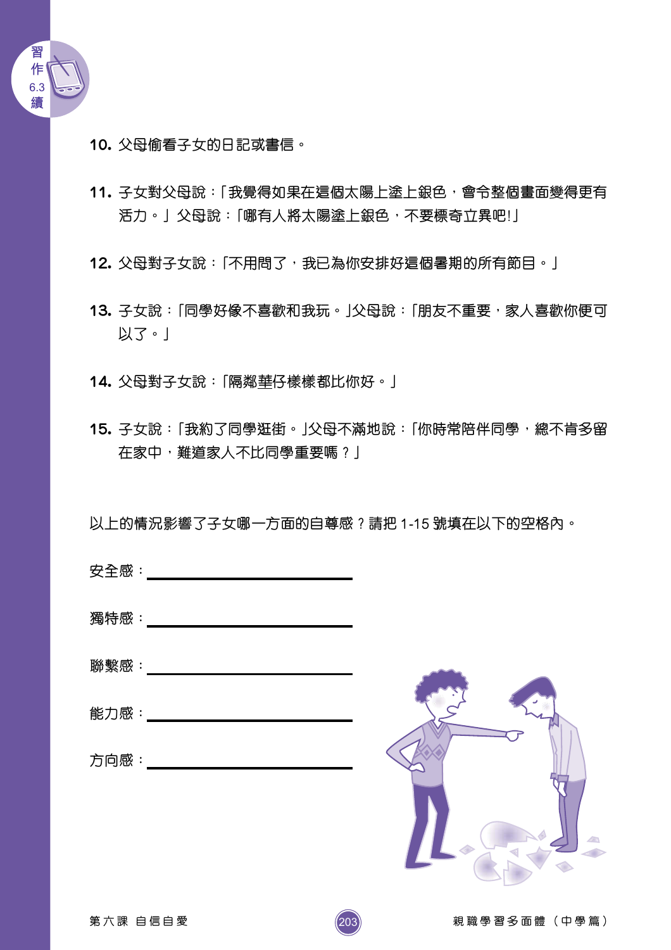

- 10. 父母偷看子女的日記或書信。
- 11. 子女對父母說:「我覺得如果在這個太陽上塗上銀色,會令整個畫面變得更有 活力。」父母說:「哪有人將太陽塗上銀色,不要標奇立異吧!」
- 12. 父母對子女說:「不用問了,我已為你安排好這個暑期的所有節目。」
- 13. 子女說:「同學好像不喜歡和我玩。」父母說:「朋友不重要,家人喜歡你便可 以了。」
- 14. 父母對子女說:「隔鄰華仔樣樣都比你好。」
- 15. 子女說:「我約了同學逛街。」父母不滿地說:「你時常陪伴同學,總不肯多留 在家中,難道家人不比同學重要嗎?」
- 以上的情況影響了子女哪一方面的自尊感?請把 1-15 號填在以下的空格內。

- $\mathbb{R}^n$  . We also see that  $\mathbb{R}^n$  . The contract of  $\mathbb{R}^n$  is the contract of  $\mathbb{R}^n$  .
- 
- 方向感 : インタン しょうしょう こうしょう